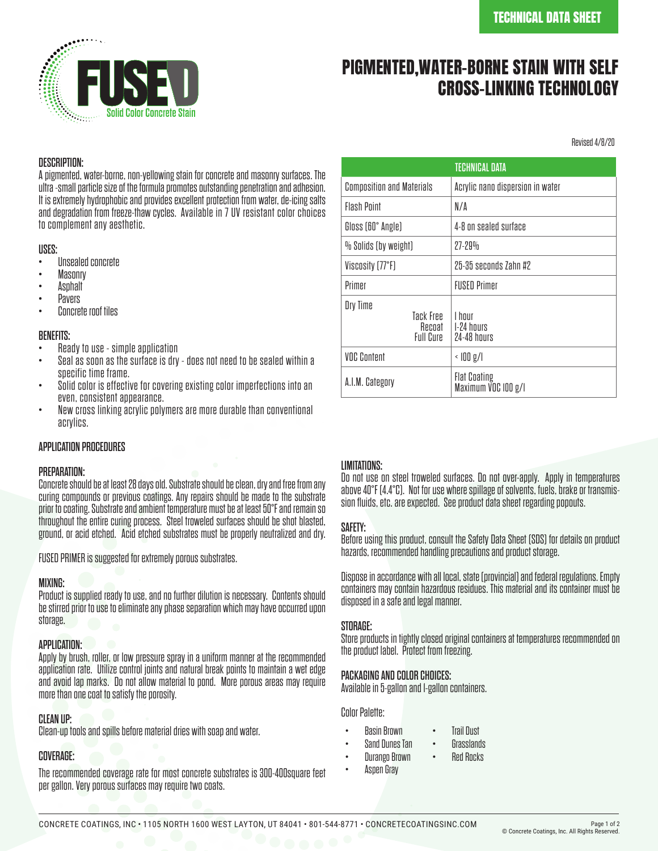

# PIGMENTED,WATER-BORNE STAIN WITH SELF CROSS-LINKING TECHNOLOGY

Revised 4/8/20

#### DESCRIPTION:

A pigmented, water-borne, non-yellowing stain for concrete and masonry surfaces. The ultra -small particle size of the formula promotes outstanding penetration and adhesion. It is extremely hydrophobic and provides excellent protection from water, de-icing salts and degradation from freeze-thaw cycles. Available in 7 UV resistant color choices to complement any aesthetic.

- **USES:**<br>• Unsealed concrete
- 
- 
- 
- Masonry<br>Asphalt<br>Pavers<br>Concrete roof tiles

- **BENEFITS:**<br>• Ready to use simple application
- Seal as soon as the surface is dry does not need to be sealed within a<br>specific time frame.
- Solid color is effective for covering existing color imperfections into an<br>even, consistent appearance.
- New cross linking acrylic polymers are more durable than conventional acrylics.

#### APPLICATION PROCEDURES

#### PREPARATION:

Concrete should be at least 28 days old. Substrate should be clean, dry and free from any curing compounds or previous coatings. Any repairs should be made to the substrate prior to coating. Substrate and ambient temperature must be at least 50°F and remain so throughout the entire curing process. Steel troweled surfaces should be shot blasted, ground, or acid etched. Acid etched substrates must be properly neutralized and dry.

FUSED PRIMER is suggested for extremely porous substrates.

#### MIXING:

Product is supplied ready to use, and no further dilution is necessary. Contents should be stirred prior to use to eliminate any phase separation which may have occurred upon storage.

#### APPLICATION:

Apply by brush, roller, or low pressure spray in a uniform manner at the recommended application rate. Utilize control joints and natural break points to maintain a wet edge and avoid lap marks. Do not allow material to pond. More porous areas may require more than one coat to satisfy the porosity.

### CLEAN UP:

Clean-up tools and spills before material dries with soap and water.

## COVERAGE:

The recommended coverage rate for most concrete substrates is 300-400square feet per gallon. Very porous surfaces may require two coats.

| <b>TECHNICAL DATA</b>                        |                                            |  |  |  |
|----------------------------------------------|--------------------------------------------|--|--|--|
| <b>Composition and Materials</b>             | Acrylic nano dispersion in water           |  |  |  |
| <b>Flash Pnint</b>                           | N/A                                        |  |  |  |
| Gloss (60° Angle)                            | 4-8 on sealed surface                      |  |  |  |
| % Solids (by weight)                         | $27 - 29%$                                 |  |  |  |
| Viscosity (77°F)                             | 25-35 seconds 7ahn #2                      |  |  |  |
| Primer                                       | <b>FIISED Primer</b>                       |  |  |  |
| Dry Time<br>Tack Free<br>Recoat<br>Full Cure | I hnur<br>1-24 hours<br>24-48 hours        |  |  |  |
| <b>VOC Content</b>                           | $\langle$ $ 00 \text{ g}/ $                |  |  |  |
| A.I.M. Category                              | <b>Flat Coating</b><br>Maximum VOC IOO g/l |  |  |  |

### LIMITATIONS:

Do not use on steel troweled surfaces. Do not over-apply. Apply in temperatures above 40°F (4.4°C). Not for use where spillage of solvents, fuels, brake or transmis- sion fluids, etc. are expected. See product data sheet regarding popouts.

### SAFETY:

Before using this product, consult the Safety Data Sheet (SDS) for details on product hazards, recommended handling precautions and product storage.

Dispose in accordance with all local, state (provincial) and federal regulations. Empty containers may contain hazardous residues. This material and its container must be disposed in a safe and legal manner.

### STORAGE:

Store products in tightly closed original containers at temperatures recommended on the product label. Protect from freezing.

### PACKAGING AND COLOR CHOICES:

Available in 5-gallon and 1-gallon containers.

Color Palette:

- Basin Brown • Trail Dust
- Sand Dunes Tan **Grasslands**
- Durango Brown • Red Rocks
	- Aspen Gray